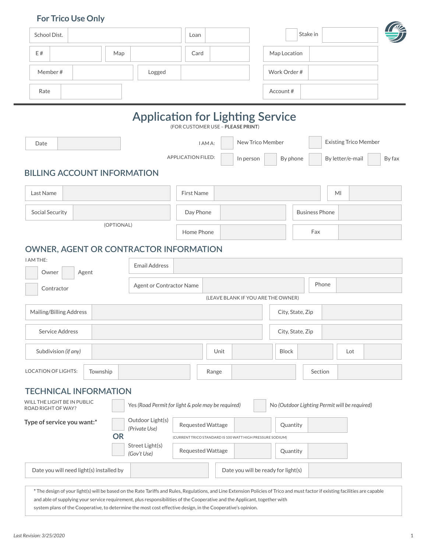# **For Trico Use Only**

| School Dist.                                                                                                                                                                                                                                                                                                                                                                                                                |                                                    | Loan                                                      |           | Stake in                            |                                               |
|-----------------------------------------------------------------------------------------------------------------------------------------------------------------------------------------------------------------------------------------------------------------------------------------------------------------------------------------------------------------------------------------------------------------------------|----------------------------------------------------|-----------------------------------------------------------|-----------|-------------------------------------|-----------------------------------------------|
| E #<br>Map                                                                                                                                                                                                                                                                                                                                                                                                                  |                                                    | Card                                                      |           | Map Location                        |                                               |
| Member#                                                                                                                                                                                                                                                                                                                                                                                                                     | Logged                                             |                                                           |           | Work Order #                        |                                               |
| Rate                                                                                                                                                                                                                                                                                                                                                                                                                        |                                                    |                                                           |           | Account#                            |                                               |
|                                                                                                                                                                                                                                                                                                                                                                                                                             | <b>Application for Lighting Service</b>            | (FOR CUSTOMER USE - PLEASE PRINT)                         |           |                                     |                                               |
| Date                                                                                                                                                                                                                                                                                                                                                                                                                        |                                                    | I AM A:                                                   |           | New Trico Member                    | <b>Existing Trico Member</b>                  |
|                                                                                                                                                                                                                                                                                                                                                                                                                             |                                                    | <b>APPLICATION FILED:</b>                                 | In person | By phone                            | By letter/e-mail<br>By fax                    |
| <b>BILLING ACCOUNT INFORMATION</b>                                                                                                                                                                                                                                                                                                                                                                                          |                                                    |                                                           |           |                                     |                                               |
| Last Name                                                                                                                                                                                                                                                                                                                                                                                                                   |                                                    | <b>First Name</b>                                         |           |                                     | MI                                            |
| Social Security                                                                                                                                                                                                                                                                                                                                                                                                             |                                                    | Day Phone                                                 |           | <b>Business Phone</b>               |                                               |
| (OPTIONAL)                                                                                                                                                                                                                                                                                                                                                                                                                  |                                                    | Home Phone                                                |           | Fax                                 |                                               |
| <b>OWNER, AGENT OR CONTRACTOR INFORMATION</b>                                                                                                                                                                                                                                                                                                                                                                               |                                                    |                                                           |           |                                     |                                               |
| I AM THE:                                                                                                                                                                                                                                                                                                                                                                                                                   | <b>Email Address</b>                               |                                                           |           |                                     |                                               |
| Owner<br>Agent<br>Contractor                                                                                                                                                                                                                                                                                                                                                                                                | Agent or Contractor Name                           |                                                           |           | (LEAVE BLANK IF YOU ARE THE OWNER)  | Phone                                         |
| Mailing/Billing Address                                                                                                                                                                                                                                                                                                                                                                                                     |                                                    |                                                           |           | City, State, Zip                    |                                               |
| Service Address                                                                                                                                                                                                                                                                                                                                                                                                             |                                                    |                                                           |           | City, State, Zip                    |                                               |
| Subdivision (if any)                                                                                                                                                                                                                                                                                                                                                                                                        |                                                    | Unit                                                      |           | <b>Block</b>                        | Lot                                           |
| <b>LOCATION OF LIGHTS:</b><br>Township                                                                                                                                                                                                                                                                                                                                                                                      |                                                    | Range                                                     |           |                                     | Section                                       |
| <b>TECHNICAL INFORMATION</b><br>WILL THE LIGHT BE IN PUBLIC<br><b>ROAD RIGHT OF WAY?</b>                                                                                                                                                                                                                                                                                                                                    | Yes (Road Permit for light & pole may be required) |                                                           |           |                                     | No (Outdoor Lighting Permit will be required) |
| Type of service you want:*                                                                                                                                                                                                                                                                                                                                                                                                  | Outdoor Light(s)<br>(Private Use)                  | Requested Wattage                                         |           | Quantity                            |                                               |
| <b>OR</b>                                                                                                                                                                                                                                                                                                                                                                                                                   | Street Light(s)                                    | (CURRENT TRICO STANDARD IS 100 WATT HIGH PRESSURE SODIUM) |           |                                     |                                               |
|                                                                                                                                                                                                                                                                                                                                                                                                                             | (Gov't Use)                                        | Requested Wattage                                         |           | Quantity                            |                                               |
| Date you will need light(s) installed by                                                                                                                                                                                                                                                                                                                                                                                    |                                                    |                                                           |           | Date you will be ready for light(s) |                                               |
| * The design of your light(s) will be based on the Rate Tariffs and Rules, Regulations, and Line Extension Policies of Trico and must factor if existing facilities are capable<br>and able of supplying your service requirement, plus responsibilities of the Cooperative and the Applicant, together with<br>system plans of the Cooperative, to determine the most cost effective design, in the Cooperative's opinion. |                                                    |                                                           |           |                                     |                                               |